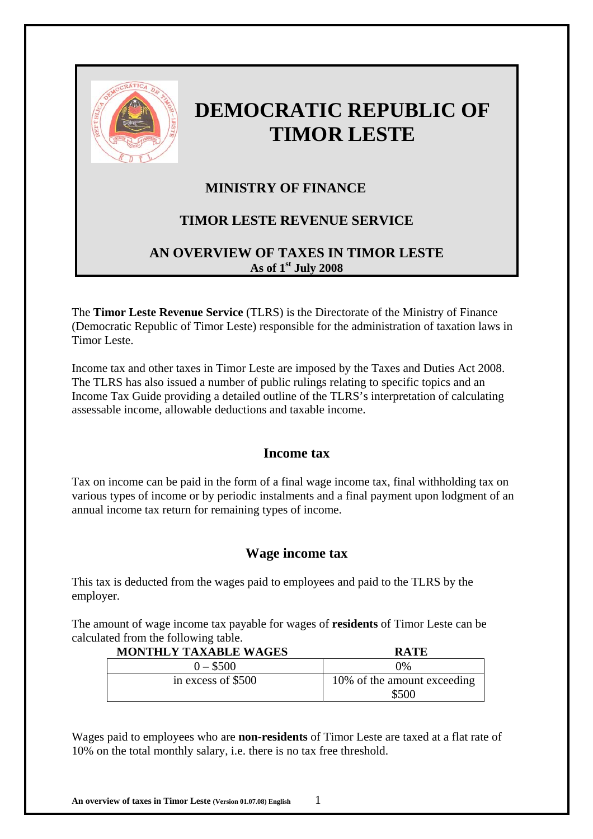

# **DEMOCRATIC REPUBLIC OF TIMOR LESTE**

# **MINISTRY OF FINANCE**

# **TIMOR LESTE REVENUE SERVICE**

# **AN OVERVIEW OF TAXES IN TIMOR LESTE As of 1st July 2008**

The **Timor Leste Revenue Service** (TLRS) is the Directorate of the Ministry of Finance (Democratic Republic of Timor Leste) responsible for the administration of taxation laws in Timor Leste.

Income tax and other taxes in Timor Leste are imposed by the Taxes and Duties Act 2008. The TLRS has also issued a number of public rulings relating to specific topics and an Income Tax Guide providing a detailed outline of the TLRS's interpretation of calculating assessable income, allowable deductions and taxable income.

# **Income tax**

Tax on income can be paid in the form of a final wage income tax, final withholding tax on various types of income or by periodic instalments and a final payment upon lodgment of an annual income tax return for remaining types of income.

## **Wage income tax**

This tax is deducted from the wages paid to employees and paid to the TLRS by the employer.

The amount of wage income tax payable for wages of **residents** of Timor Leste can be calculated from the following table.

| <b>MONTHLY TAXABLE WAGES</b> | <b>RATE</b>                          |
|------------------------------|--------------------------------------|
| $0 - $500$                   | 0%                                   |
| in excess of \$500           | 10% of the amount exceeding<br>\$500 |

Wages paid to employees who are **non-residents** of Timor Leste are taxed at a flat rate of 10% on the total monthly salary, i.e. there is no tax free threshold.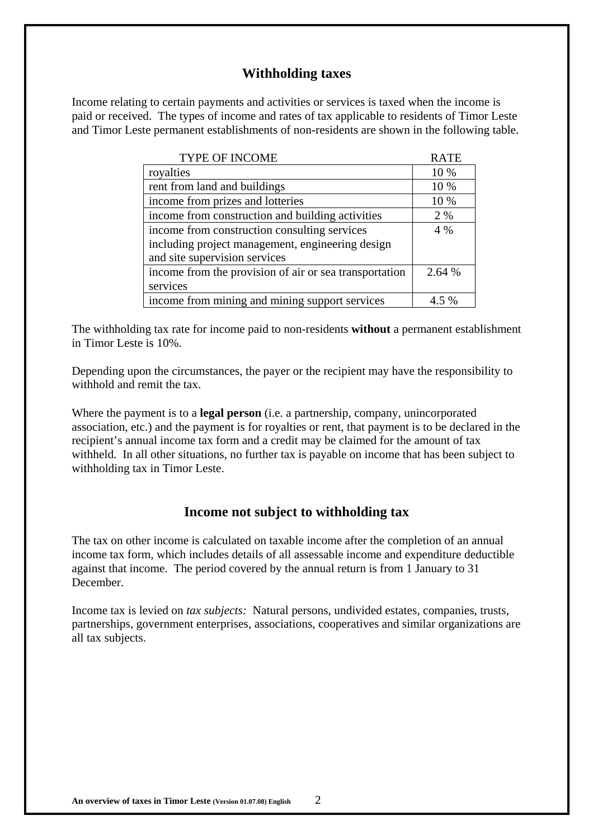## **Withholding taxes**

Income relating to certain payments and activities or services is taxed when the income is paid or received. The types of income and rates of tax applicable to residents of Timor Leste and Timor Leste permanent establishments of non-residents are shown in the following table.

| TYPE OF INCOME                                         | <b>RATE</b> |
|--------------------------------------------------------|-------------|
| royalties                                              | 10 %        |
| rent from land and buildings                           | 10 %        |
| income from prizes and lotteries                       | 10 %        |
| income from construction and building activities       | 2 %         |
| income from construction consulting services           | $4\%$       |
| including project management, engineering design       |             |
| and site supervision services                          |             |
| income from the provision of air or sea transportation | 2.64 %      |
| services                                               |             |
| income from mining and mining support services         | $5\%$       |

The withholding tax rate for income paid to non-residents **without** a permanent establishment in Timor Leste is 10%.

Depending upon the circumstances, the payer or the recipient may have the responsibility to withhold and remit the tax.

Where the payment is to a **legal person** (i.e. a partnership, company, unincorporated association, etc.) and the payment is for royalties or rent, that payment is to be declared in the recipient's annual income tax form and a credit may be claimed for the amount of tax withheld. In all other situations, no further tax is payable on income that has been subject to withholding tax in Timor Leste.

## **Income not subject to withholding tax**

The tax on other income is calculated on taxable income after the completion of an annual income tax form, which includes details of all assessable income and expenditure deductible against that income. The period covered by the annual return is from 1 January to 31 December.

Income tax is levied on *tax subjects:* Natural persons, undivided estates, companies, trusts, partnerships, government enterprises, associations, cooperatives and similar organizations are all tax subjects.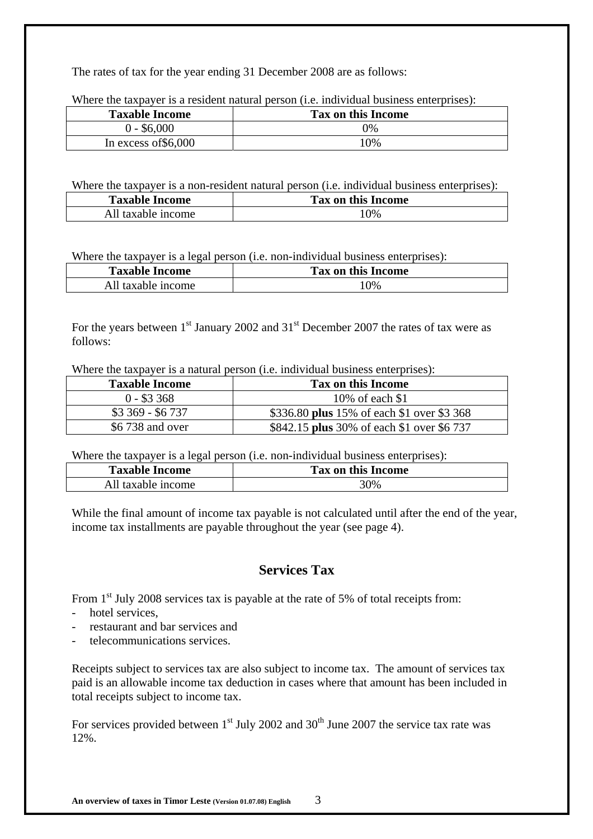The rates of tax for the year ending 31 December 2008 are as follows:

Where the taxpayer is a resident natural person *(i.e. individual business enterprises)*:

| <b>Taxable Income</b> | Tax on this Income |
|-----------------------|--------------------|
| $0 - $6,000$          | $9\%$              |
| In excess of $$6,000$ | 10%                |

Where the taxpayer is a non-resident natural person (i.e. individual business enterprises):

| <b>Taxable Income</b> | Tax on this Income |
|-----------------------|--------------------|
| All taxable income    | 10%                |

Where the taxpayer is a legal person (i.e. non-individual business enterprises):

| <b>Taxable Income</b> | Tax on this Income |  |
|-----------------------|--------------------|--|
| All taxable income    | 10%                |  |

For the years between  $1<sup>st</sup>$  January 2002 and  $31<sup>st</sup>$  December 2007 the rates of tax were as follows:

Where the taxpayer is a natural person (i.e. individual business enterprises):

| <b>Taxable Income</b> | Tax on this Income                         |
|-----------------------|--------------------------------------------|
| $0 - $3,368$          | 10% of each \$1                            |
| $$3,369 - $6,737$     | \$336.80 plus 15% of each \$1 over \$3 368 |
| \$6 738 and over      | \$842.15 plus 30% of each \$1 over \$6 737 |

Where the taxpayer is a legal person (i.e. non-individual business enterprises):

| <b>Taxable Income</b> | <b>Tax on this Income</b> |
|-----------------------|---------------------------|
| All taxable income    | 30%                       |

While the final amount of income tax payable is not calculated until after the end of the year, income tax installments are payable throughout the year (see page 4).

# **Services Tax**

From  $1<sup>st</sup>$  July 2008 services tax is payable at the rate of 5% of total receipts from:

- hotel services,
- restaurant and bar services and
- telecommunications services.

Receipts subject to services tax are also subject to income tax. The amount of services tax paid is an allowable income tax deduction in cases where that amount has been included in total receipts subject to income tax.

For services provided between  $1<sup>st</sup>$  July 2002 and 30<sup>th</sup> June 2007 the service tax rate was 12%.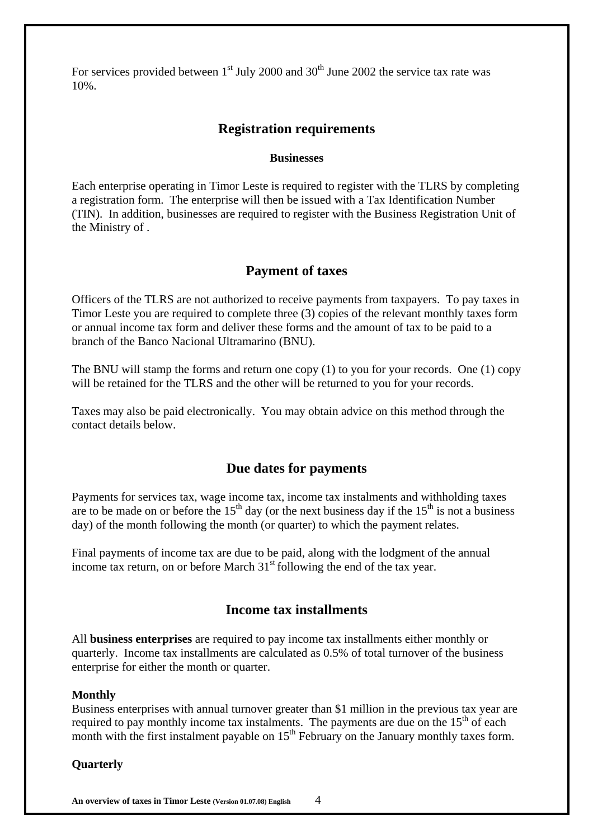For services provided between  $1<sup>st</sup>$  July 2000 and 30<sup>th</sup> June 2002 the service tax rate was 10%.

## **Registration requirements**

#### **Businesses**

Each enterprise operating in Timor Leste is required to register with the TLRS by completing a registration form. The enterprise will then be issued with a Tax Identification Number (TIN). In addition, businesses are required to register with the Business Registration Unit of the Ministry of .

#### **Payment of taxes**

Officers of the TLRS are not authorized to receive payments from taxpayers. To pay taxes in Timor Leste you are required to complete three (3) copies of the relevant monthly taxes form or annual income tax form and deliver these forms and the amount of tax to be paid to a branch of the Banco Nacional Ultramarino (BNU).

The BNU will stamp the forms and return one copy (1) to you for your records. One (1) copy will be retained for the TLRS and the other will be returned to you for your records.

Taxes may also be paid electronically. You may obtain advice on this method through the contact details below.

#### **Due dates for payments**

Payments for services tax, wage income tax, income tax instalments and withholding taxes are to be made on or before the  $15<sup>th</sup>$  day (or the next business day if the  $15<sup>th</sup>$  is not a business day) of the month following the month (or quarter) to which the payment relates.

Final payments of income tax are due to be paid, along with the lodgment of the annual income tax return, on or before March  $31<sup>st</sup>$  following the end of the tax year.

## **Income tax installments**

All **business enterprises** are required to pay income tax installments either monthly or quarterly. Income tax installments are calculated as 0.5% of total turnover of the business enterprise for either the month or quarter.

#### **Monthly**

Business enterprises with annual turnover greater than \$1 million in the previous tax year are required to pay monthly income tax instalments. The payments are due on the  $15<sup>th</sup>$  of each month with the first instalment payable on  $15<sup>th</sup>$  February on the January monthly taxes form.

#### **Quarterly**